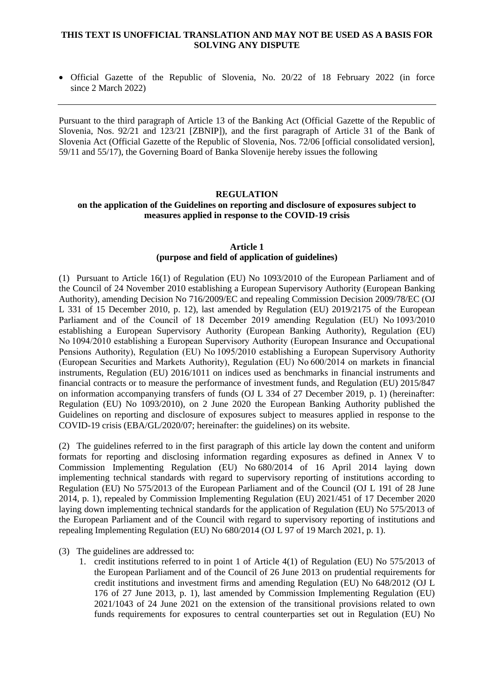#### **THIS TEXT IS UNOFFICIAL TRANSLATION AND MAY NOT BE USED AS A BASIS FOR SOLVING ANY DISPUTE**

 Official Gazette of the Republic of Slovenia, No. 20/22 of 18 February 2022 (in force since 2 March 2022)

Pursuant to the third paragraph of Article 13 of the Banking Act (Official Gazette of the Republic of Slovenia, Nos. 92/21 and 123/21 [ZBNIP]), and the first paragraph of Article 31 of the Bank of Slovenia Act (Official Gazette of the Republic of Slovenia, Nos. 72/06 [official consolidated version], 59/11 and 55/17), the Governing Board of Banka Slovenije hereby issues the following

### **REGULATION on the application of the Guidelines on reporting and disclosure of exposures subject to measures applied in response to the COVID-19 crisis**

#### **Article 1 (purpose and field of application of guidelines)**

(1) Pursuant to Article 16(1) of Regulation (EU) No 1093/2010 of the European Parliament and of the Council of 24 November 2010 establishing a European Supervisory Authority (European Banking Authority), amending Decision No 716/2009/EC and repealing Commission Decision 2009/78/EC (OJ L 331 of 15 December 2010, p. 12), last amended by Regulation (EU) 2019/2175 of the European Parliament and of the Council of 18 December 2019 amending Regulation (EU) No 1093/2010 establishing a European Supervisory Authority (European Banking Authority), Regulation (EU) No 1094/2010 establishing a European Supervisory Authority (European Insurance and Occupational Pensions Authority), Regulation (EU) No 1095/2010 establishing a European Supervisory Authority (European Securities and Markets Authority), Regulation (EU) No 600/2014 on markets in financial instruments, Regulation (EU) 2016/1011 on indices used as benchmarks in financial instruments and financial contracts or to measure the performance of investment funds, and Regulation (EU) 2015/847 on information accompanying transfers of funds (OJ L 334 of 27 December 2019, p. 1) (hereinafter: Regulation (EU) No 1093/2010), on 2 June 2020 the European Banking Authority published the Guidelines on reporting and disclosure of exposures subject to measures applied in response to the COVID-19 crisis (EBA/GL/2020/07; hereinafter: the guidelines) on its website.

(2) The guidelines referred to in the first paragraph of this article lay down the content and uniform formats for reporting and disclosing information regarding exposures as defined in Annex V to Commission Implementing Regulation (EU) No 680/2014 of 16 April 2014 laying down implementing technical standards with regard to supervisory reporting of institutions according to Regulation (EU) No 575/2013 of the European Parliament and of the Council (OJ L 191 of 28 June 2014, p. 1), repealed by Commission Implementing Regulation (EU) 2021/451 of 17 December 2020 laying down implementing technical standards for the application of Regulation (EU) No 575/2013 of the European Parliament and of the Council with regard to supervisory reporting of institutions and repealing Implementing Regulation (EU) No 680/2014 (OJ L 97 of 19 March 2021, p. 1).

- (3) The guidelines are addressed to:
	- 1. credit institutions referred to in point 1 of Article 4(1) of Regulation (EU) No 575/2013 of the European Parliament and of the Council of 26 June 2013 on prudential requirements for credit institutions and investment firms and amending Regulation (EU) No 648/2012 (OJ L 176 of 27 June 2013, p. 1), last amended by Commission Implementing Regulation (EU) 2021/1043 of 24 June 2021 on the extension of the transitional provisions related to own funds requirements for exposures to central counterparties set out in Regulation (EU) No